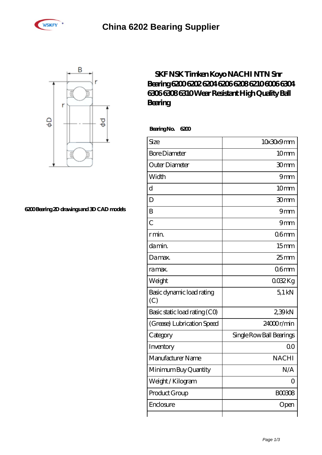



## **[6200 Bearing 2D drawings and 3D CAD models](https://brosebaskets.tv/pic-808871.html)**

## **[SKF NSK Timken Koyo NACHI NTN Snr](https://brosebaskets.tv/nsk-6208-bearing/nachi-6200.html) [Bearing 6200 6202 6204 6206 6208 6210 6006 6304](https://brosebaskets.tv/nsk-6208-bearing/nachi-6200.html) [6306 6308 6310 Wear Resistant High Quality Ball](https://brosebaskets.tv/nsk-6208-bearing/nachi-6200.html) [Bearing](https://brosebaskets.tv/nsk-6208-bearing/nachi-6200.html)**

 **Bearing No. 6200**

| Size                             | 10x30x9mm                |
|----------------------------------|--------------------------|
| <b>Bore Diameter</b>             | 10mm                     |
| Outer Diameter                   | 30mm                     |
| Width                            | 9mm                      |
| $\mathbf d$                      | 10mm                     |
| D                                | 30mm                     |
| B                                | 9mm                      |
| $\overline{C}$                   | 9mm                      |
| r min.                           | 06 <sub>mm</sub>         |
| da min.                          | 15 <sub>mm</sub>         |
| Da max.                          | $25$ mm                  |
| ra max.                          | 06 <sub>mm</sub>         |
| Weight                           | 0032Kg                   |
| Basic dynamic load rating<br>(C) | $5.1$ kN                 |
| Basic static load rating (CO)    | 2,39kN                   |
| (Grease) Lubrication Speed       | $24000$ r/min            |
| Category                         | Single Row Ball Bearings |
| Inventory                        | 0 <sup>0</sup>           |
| Manufacturer Name                | <b>NACHI</b>             |
| Minimum Buy Quantity             | N/A                      |
| Weight / Kilogram                | $\overline{O}$           |
| Product Group                    | <b>BOO308</b>            |
| Enclosure                        | Open                     |
|                                  |                          |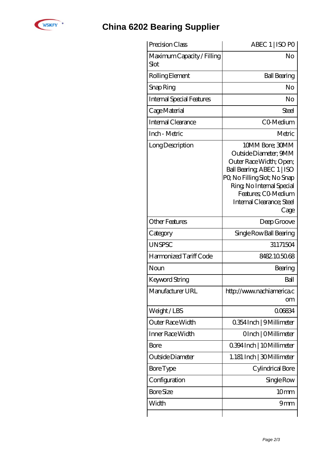

## **[China 6202 Bearing Supplier](https://brosebaskets.tv)**

| Precision Class                    | ABEC 1   ISO PO                                                                                                                                                                                                           |
|------------------------------------|---------------------------------------------------------------------------------------------------------------------------------------------------------------------------------------------------------------------------|
| Maximum Capacity / Filling<br>Slot | No                                                                                                                                                                                                                        |
| Rolling Element                    | <b>Ball Bearing</b>                                                                                                                                                                                                       |
| Snap Ring                          | No                                                                                                                                                                                                                        |
| <b>Internal Special Features</b>   | No                                                                                                                                                                                                                        |
| Cage Material                      | Steel                                                                                                                                                                                                                     |
| Internal Clearance                 | CO-Medium                                                                                                                                                                                                                 |
| Inch - Metric                      | Metric                                                                                                                                                                                                                    |
| Long Description                   | 10MM Bore; 30MM<br>Outside Diameter; 9MM<br>Outer Race Width; Open;<br>Ball Bearing, ABEC 1   ISO<br>PQ No Filling Slot; No Snap<br>Ring, No Internal Special<br>Features; CO-Medium<br>Internal Clearance; Steel<br>Cage |
| <b>Other Features</b>              | Deep Groove                                                                                                                                                                                                               |
| Category                           | Single Row Ball Bearing                                                                                                                                                                                                   |
| <b>UNSPSC</b>                      | 31171504                                                                                                                                                                                                                  |
| Harmonized Tariff Code             | 8482.105068                                                                                                                                                                                                               |
| Noun                               | Bearing                                                                                                                                                                                                                   |
| Keyword String                     | Ball                                                                                                                                                                                                                      |
| Manufacturer URL                   | http://www.nachiamerica.c<br>om                                                                                                                                                                                           |
| Weight/LBS                         | 006834                                                                                                                                                                                                                    |
| Outer Race Width                   | 0.354 Inch   9 Millimeter                                                                                                                                                                                                 |
| Inner Race Width                   | OInch   OMillimeter                                                                                                                                                                                                       |
| Bore                               | 0.394 Inch   10 Millimeter                                                                                                                                                                                                |
| Outside Diameter                   | 1.181 Inch   30 Millimeter                                                                                                                                                                                                |
| Bore Type                          | Cylindrical Bore                                                                                                                                                                                                          |
| Configuration                      | Single Row                                                                                                                                                                                                                |
| <b>Bore Size</b>                   | 10 <sub>mm</sub>                                                                                                                                                                                                          |
| Width                              | 9mm                                                                                                                                                                                                                       |
|                                    |                                                                                                                                                                                                                           |